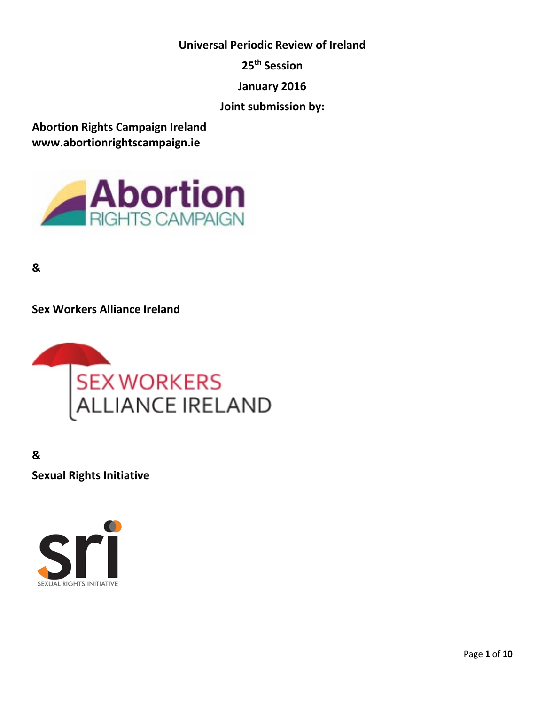**Universal Periodic Review of Ireland**

**25th Session**

**January 2016**

**Joint submission by:**

**Abortion Rights Campaign Ireland www.abortionrightscampaign.ie**



**&** 

**Sex Workers Alliance Ireland**



**&**

**Sexual Rights Initiative**

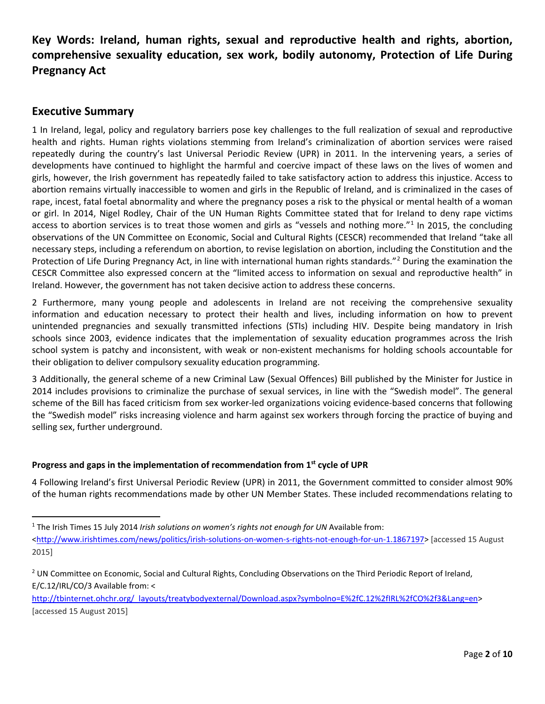**Key Words: Ireland, human rights, sexual and reproductive health and rights, abortion, comprehensive sexuality education, sex work, bodily autonomy, Protection of Life During Pregnancy Act**

# **Executive Summary**

1 In Ireland, legal, policy and regulatory barriers pose key challenges to the full realization of sexual and reproductive health and rights. Human rights violations stemming from Ireland's criminalization of abortion services were raised repeatedly during the country's last Universal Periodic Review (UPR) in 2011. In the intervening years, a series of developments have continued to highlight the harmful and coercive impact of these laws on the lives of women and girls, however, the Irish government has repeatedly failed to take satisfactory action to address this injustice. Access to abortion remains virtually inaccessible to women and girls in the Republic of Ireland, and is criminalized in the cases of rape, incest, fatal foetal abnormality and where the pregnancy poses a risk to the physical or mental health of a woman or girl. In 2014, Nigel Rodley, Chair of the UN Human Rights Committee stated that for Ireland to deny rape victims access to abortion services is to treat those women and girls as "vessels and nothing more."[1](#page-1-0) In 2015, the concluding observations of the UN Committee on Economic, Social and Cultural Rights (CESCR) recommended that Ireland "take all necessary steps, including a referendum on abortion, to revise legislation on abortion, including the Constitution and the Protection of Life During Pregnancy Act, in line with international human rights standards."[2](#page-1-1) During the examination the CESCR Committee also expressed concern at the "limited access to information on sexual and reproductive health" in Ireland. However, the government has not taken decisive action to address these concerns.

2 Furthermore, many young people and adolescents in Ireland are not receiving the comprehensive sexuality information and education necessary to protect their health and lives, including information on how to prevent unintended pregnancies and sexually transmitted infections (STIs) including HIV. Despite being mandatory in Irish schools since 2003, evidence indicates that the implementation of sexuality education programmes across the Irish school system is patchy and inconsistent, with weak or non-existent mechanisms for holding schools accountable for their obligation to deliver compulsory sexuality education programming.

3 Additionally, the general scheme of a new Criminal Law (Sexual Offences) Bill published by the Minister for Justice in 2014 includes provisions to criminalize the purchase of sexual services, in line with the "Swedish model". The general scheme of the Bill has faced criticism from sex worker-led organizations voicing evidence-based concerns that following the "Swedish model" risks increasing violence and harm against sex workers through forcing the practice of buying and selling sex, further underground.

# **Progress and gaps in the implementation of recommendation from 1st cycle of UPR**

4 Following Ireland's first Universal Periodic Review (UPR) in 2011, the Government committed to consider almost 90% of the human rights recommendations made by other UN Member States. These included recommendations relating to

<span id="page-1-0"></span><sup>&</sup>lt;sup>1</sup> The Irish Times 15 July 2014 *Irish solutions on women's rights not enough for UN* Available from:

[<sup>&</sup>lt;http://www.irishtimes.com/news/politics/irish-solutions-on-women-s-rights-not-enough-for-un-1.1867197>](http://www.irishtimes.com/news/politics/irish-solutions-on-women-s-rights-not-enough-for-un-1.1867197) [accessed 15 August 2015]

<span id="page-1-1"></span><sup>&</sup>lt;sup>2</sup> UN Committee on Economic, Social and Cultural Rights, Concluding Observations on the Third Periodic Report of Ireland, E/C.12/IRL/CO/3 Available from: <

[http://tbinternet.ohchr.org/\\_layouts/treatybodyexternal/Download.aspx?symbolno=E%2fC.12%2fIRL%2fCO%2f3&Lang=en>](http://tbinternet.ohchr.org/_layouts/treatybodyexternal/Download.aspx?symbolno=E%2fC.12%2fIRL%2fCO%2f3&Lang=en) [accessed 15 August 2015]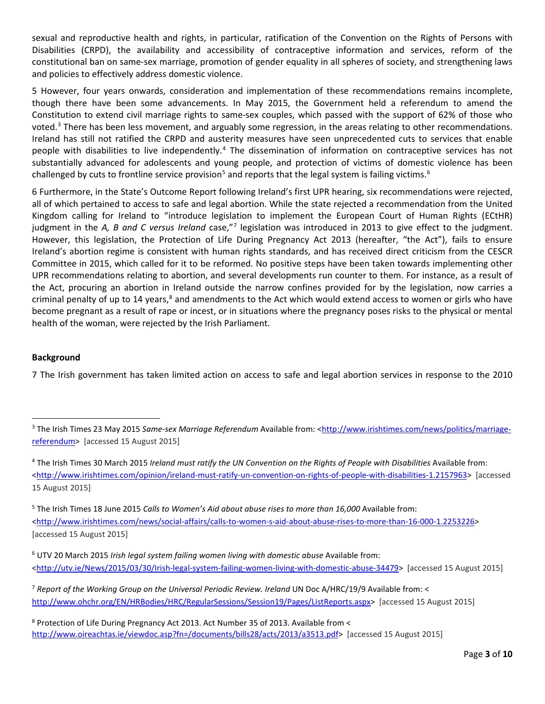sexual and reproductive health and rights, in particular, ratification of the Convention on the Rights of Persons with Disabilities (CRPD), the availability and accessibility of contraceptive information and services, reform of the constitutional ban on same-sex marriage, promotion of gender equality in all spheres of society, and strengthening laws and policies to effectively address domestic violence.

5 However, four years onwards, consideration and implementation of these recommendations remains incomplete, though there have been some advancements. In May 2015, the Government held a referendum to amend the Constitution to extend civil marriage rights to same-sex couples, which passed with the support of 62% of those who voted.<sup>[3](#page-2-0)</sup> There has been less movement, and arguably some regression, in the areas relating to other recommendations. Ireland has still not ratified the CRPD and austerity measures have seen unprecedented cuts to services that enable people with disabilities to live independently.<sup>[4](#page-2-1)</sup> The dissemination of information on contraceptive services has not substantially advanced for adolescents and young people, and protection of victims of domestic violence has been challenged by cuts to frontline service provision<sup>[5](#page-2-2)</sup> and reports that the legal system is failing victims.<sup>[6](#page-2-3)</sup>

6 Furthermore, in the State's Outcome Report following Ireland's first UPR hearing, six recommendations were rejected, all of which pertained to access to safe and legal abortion. While the state rejected a recommendation from the United Kingdom calling for Ireland to "introduce legislation to implement the European Court of Human Rights (ECtHR) judgment in the *A, B and C versus Ireland* case,"[7](#page-2-4) legislation was introduced in 2013 to give effect to the judgment. However, this legislation, the Protection of Life During Pregnancy Act 2013 (hereafter, "the Act"), fails to ensure Ireland's abortion regime is consistent with human rights standards, and has received direct criticism from the CESCR Committee in 2015, which called for it to be reformed. No positive steps have been taken towards implementing other UPR recommendations relating to abortion, and several developments run counter to them. For instance, as a result of the Act, procuring an abortion in Ireland outside the narrow confines provided for by the legislation, now carries a criminal penalty of up to 14 years,<sup>[8](#page-2-5)</sup> and amendments to the Act which would extend access to women or girls who have become pregnant as a result of rape or incest, or in situations where the pregnancy poses risks to the physical or mental health of the woman, were rejected by the Irish Parliament.

#### **Background**

7 The Irish government has taken limited action on access to safe and legal abortion services in response to the 2010

<span id="page-2-2"></span><sup>5</sup> The Irish Times 18 June 2015 *Calls to Women's Aid about abuse rises to more than 16,000* Available from: [<http://www.irishtimes.com/news/social-affairs/calls-to-women-s-aid-about-abuse-rises-to-more-than-16-000-1.2253226>](http://www.irishtimes.com/news/social-affairs/calls-to-women-s-aid-about-abuse-rises-to-more-than-16-000-1.2253226) [accessed 15 August 2015]

<span id="page-2-0"></span> <sup>3</sup> The Irish Times 23 May 2015 *Same-sex Marriage Referendum* Available from: [<http://www.irishtimes.com/news/politics/marriage](http://www.irishtimes.com/news/politics/marriage-referendum)[referendum>](http://www.irishtimes.com/news/politics/marriage-referendum) [accessed 15 August 2015]

<span id="page-2-1"></span><sup>4</sup> The Irish Times 30 March 2015 *Ireland must ratify the UN Convention on the Rights of People with Disabilities* Available from: [<http://www.irishtimes.com/opinion/ireland-must-ratify-un-convention-on-rights-of-people-with-disabilities-1.2157963>](http://www.irishtimes.com/opinion/ireland-must-ratify-un-convention-on-rights-of-people-with-disabilities-1.2157963) [accessed 15 August 2015]

<span id="page-2-3"></span><sup>6</sup> UTV 20 March 2015 *Irish legal system failing women living with domestic abuse* Available from: [<http://utv.ie/News/2015/03/30/Irish-legal-system-failing-women-living-with-domestic-abuse-34479>](http://utv.ie/News/2015/03/30/Irish-legal-system-failing-women-living-with-domestic-abuse-34479) [accessed 15 August 2015]

<span id="page-2-4"></span><sup>7</sup> *Report of the Working Group on the Universal Periodic Review. Ireland* UN Doc A/HRC/19/9 Available from: < [http://www.ohchr.org/EN/HRBodies/HRC/RegularSessions/Session19/Pages/ListReports.aspx>](http://www.ohchr.org/EN/HRBodies/HRC/RegularSessions/Session19/Pages/ListReports.aspx) [accessed 15 August 2015]

<span id="page-2-5"></span><sup>8</sup> Protection of Life During Pregnancy Act 2013. Act Number 35 of 2013. Available from < [http://www.oireachtas.ie/viewdoc.asp?fn=/documents/bills28/acts/2013/a3513.pdf>](http://www.oireachtas.ie/viewdoc.asp?fn=/documents/bills28/acts/2013/a3513.pdf) [accessed 15 August 2015]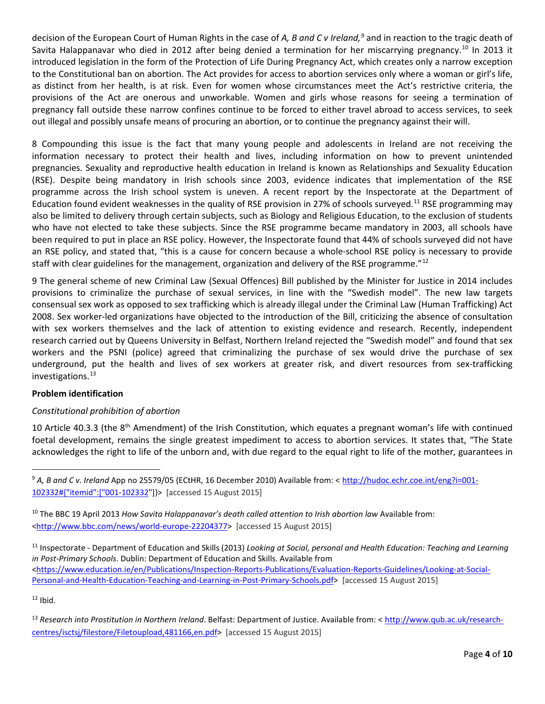decision of the European Court of Human Rights in the case of A, B and C v Ireland,<sup>[9](#page-3-0)</sup> and in reaction to the tragic death of Savita Halappanavar who died in 2012 after being denied a termination for her miscarrying pregnancy.<sup>[10](#page-3-1)</sup> In 2013 it introduced legislation in the form of the Protection of Life During Pregnancy Act, which creates only a narrow exception to the Constitutional ban on abortion. The Act provides for access to abortion services only where a woman or girl's life, as distinct from her health, is at risk. Even for women whose circumstances meet the Act's restrictive criteria, the provisions of the Act are onerous and unworkable. Women and girls whose reasons for seeing a termination of pregnancy fall outside these narrow confines continue to be forced to either travel abroad to access services, to seek out illegal and possibly unsafe means of procuring an abortion, or to continue the pregnancy against their will.

8 Compounding this issue is the fact that many young people and adolescents in Ireland are not receiving the information necessary to protect their health and lives, including information on how to prevent unintended pregnancies. Sexuality and reproductive health education in Ireland is known as Relationships and Sexuality Education (RSE). Despite being mandatory in Irish schools since 2003, evidence indicates that implementation of the RSE programme across the Irish school system is uneven. A recent report by the Inspectorate at the Department of Education found evident weaknesses in the quality of RSE provision in 27% of schools surveyed.[11](#page-3-2) RSE programming may also be limited to delivery through certain subjects, such as Biology and Religious Education, to the exclusion of students who have not elected to take these subjects. Since the RSE programme became mandatory in 2003, all schools have been required to put in place an RSE policy. However, the Inspectorate found that 44% of schools surveyed did not have an RSE policy, and stated that, "this is a cause for concern because a whole-school RSE policy is necessary to provide staff with clear guidelines for the management, organization and delivery of the RSE programme."<sup>[12](#page-3-3)</sup>

9 The general scheme of new Criminal Law (Sexual Offences) Bill published by the Minister for Justice in 2014 includes provisions to criminalize the purchase of sexual services, in line with the "Swedish model". The new law targets consensual sex work as opposed to sex trafficking which is already illegal under the Criminal Law (Human Trafficking) Act 2008. Sex worker-led organizations have objected to the introduction of the Bill, criticizing the absence of consultation with sex workers themselves and the lack of attention to existing evidence and research. Recently, independent research carried out by Queens University in Belfast, Northern Ireland rejected the "Swedish model" and found that sex workers and the PSNI (police) agreed that criminalizing the purchase of sex would drive the purchase of sex underground, put the health and lives of sex workers at greater risk, and divert resources from sex-trafficking investigations. [13](#page-3-4)

#### **Problem identification**

# *Constitutional prohibition of abortion*

10 Article 40.3.3 (the 8<sup>th</sup> Amendment) of the Irish Constitution, which equates a pregnant woman's life with continued foetal development, remains the single greatest impediment to access to abortion services. It states that, "The State acknowledges the right to life of the unborn and, with due regard to the equal right to life of the mother, guarantees in

<span id="page-3-3"></span> $12$  Ibid.

<span id="page-3-0"></span> <sup>9</sup> *A, B and C v. Ireland* App no 25579/05 (ECtHR, 16 December 2010) Available from: < [http://hudoc.echr.coe.int/eng?i=001-](http://hudoc.echr.coe.int/eng?i=001-102332%23%7B%22itemid%22:%5B%22001-102332) [102332#{"itemid":\["001-102332"](http://hudoc.echr.coe.int/eng?i=001-102332%23%7B%22itemid%22:%5B%22001-102332)]}> [accessed 15 August 2015]

<span id="page-3-1"></span><sup>&</sup>lt;sup>10</sup> The BBC 19 April 2013 *How Savita Halappanavar's death called attention to Irish abortion law Available from:* [<http://www.bbc.com/news/world-europe-22204377>](http://www.bbc.com/news/world-europe-22204377) [accessed 15 August 2015]

<span id="page-3-2"></span><sup>11</sup> Inspectorate - Department of Education and Skills (2013) *Looking at Social, personal and Health Education: Teaching and Learning in Post-Primary Schools*. Dublin: Department of Education and Skills. Available from <https://www.education.ie/en/Publications/Inspection-Reports-Publications/Evaluation-Reports-Guidelines/Looking-at-Social-Personal-and-Health-Education-Teaching-and-Learning-in-Post-Primary-Schools.pdf> [accessed 15 August 2015]

<span id="page-3-4"></span><sup>13</sup> *Research into Prostitution in Northern Ireland*. Belfast: Department of Justice. Available from: < [http://www.qub.ac.uk/research](http://www.qub.ac.uk/research-centres/isctsj/filestore/Filetoupload,481166,en.pdf)[centres/isctsj/filestore/Filetoupload,481166,en.pdf>](http://www.qub.ac.uk/research-centres/isctsj/filestore/Filetoupload,481166,en.pdf) [accessed 15 August 2015]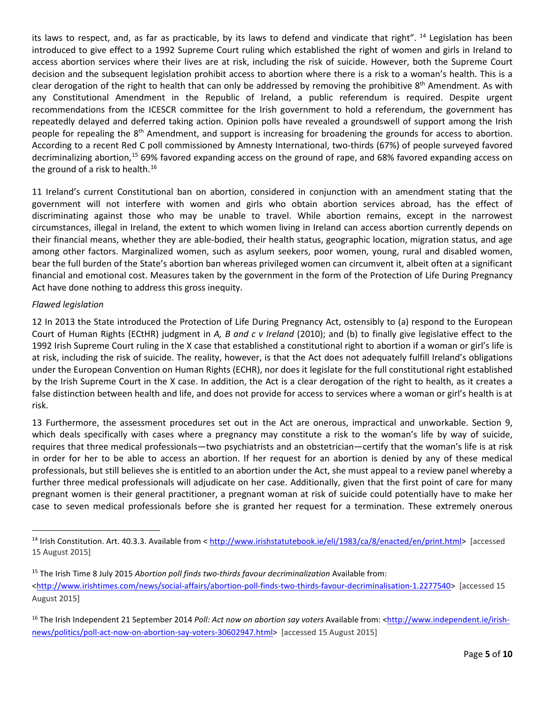its laws to respect, and, as far as practicable, by its laws to defend and vindicate that right". <sup>[14](#page-4-0)</sup> Legislation has been introduced to give effect to a 1992 Supreme Court ruling which established the right of women and girls in Ireland to access abortion services where their lives are at risk, including the risk of suicide. However, both the Supreme Court decision and the subsequent legislation prohibit access to abortion where there is a risk to a woman's health. This is a clear derogation of the right to health that can only be addressed by removing the prohibitive  $8<sup>th</sup>$  Amendment. As with any Constitutional Amendment in the Republic of Ireland, a public referendum is required. Despite urgent recommendations from the ICESCR committee for the Irish government to hold a referendum, the government has repeatedly delayed and deferred taking action. Opinion polls have revealed a groundswell of support among the Irish people for repealing the  $8<sup>th</sup>$  Amendment, and support is increasing for broadening the grounds for access to abortion. According to a recent Red C poll commissioned by Amnesty International, two-thirds (67%) of people surveyed favored decriminalizing abortion,[15](#page-4-1) 69% favored expanding access on the ground of rape, and 68% favored expanding access on the ground of a risk to health. $16$ 

11 Ireland's current Constitutional ban on abortion, considered in conjunction with an amendment stating that the government will not interfere with women and girls who obtain abortion services abroad, has the effect of discriminating against those who may be unable to travel. While abortion remains, except in the narrowest circumstances, illegal in Ireland, the extent to which women living in Ireland can access abortion currently depends on their financial means, whether they are able-bodied, their health status, geographic location, migration status, and age among other factors. Marginalized women, such as asylum seekers, poor women, young, rural and disabled women, bear the full burden of the State's abortion ban whereas privileged women can circumvent it, albeit often at a significant financial and emotional cost. Measures taken by the government in the form of the Protection of Life During Pregnancy Act have done nothing to address this gross inequity.

## *Flawed legislation*

12 In 2013 the State introduced the Protection of Life During Pregnancy Act, ostensibly to (a) respond to the European Court of Human Rights (ECtHR) judgment in *A, B and c v Ireland* (2010); and (b) to finally give legislative effect to the 1992 Irish Supreme Court ruling in the X case that established a constitutional right to abortion if a woman or girl's life is at risk, including the risk of suicide. The reality, however, is that the Act does not adequately fulfill Ireland's obligations under the European Convention on Human Rights (ECHR), nor does it legislate for the full constitutional right established by the Irish Supreme Court in the X case. In addition, the Act is a clear derogation of the right to health, as it creates a false distinction between health and life, and does not provide for access to services where a woman or girl's health is at risk.

13 Furthermore, the assessment procedures set out in the Act are onerous, impractical and unworkable. Section 9, which deals specifically with cases where a pregnancy may constitute a risk to the woman's life by way of suicide, requires that three medical professionals—two psychiatrists and an obstetrician—certify that the woman's life is at risk in order for her to be able to access an abortion. If her request for an abortion is denied by any of these medical professionals, but still believes she is entitled to an abortion under the Act, she must appeal to a review panel whereby a further three medical professionals will adjudicate on her case. Additionally, given that the first point of care for many pregnant women is their general practitioner, a pregnant woman at risk of suicide could potentially have to make her case to seven medical professionals before she is granted her request for a termination. These extremely onerous

<span id="page-4-0"></span> <sup>14</sup> Irish Constitution. Art. 40.3.3. Available from < [http://www.irishstatutebook.ie/eli/1983/ca/8/enacted/en/print.html>](http://www.irishstatutebook.ie/eli/1983/ca/8/enacted/en/print.html) [accessed 15 August 2015]

<span id="page-4-1"></span><sup>15</sup> The Irish Time 8 July 2015 *Abortion poll finds two-thirds favour decriminalization* Available from: [<http://www.irishtimes.com/news/social-affairs/abortion-poll-finds-two-thirds-favour-decriminalisation-1.2277540>](http://www.irishtimes.com/news/social-affairs/abortion-poll-finds-two-thirds-favour-decriminalisation-1.2277540) [accessed 15 August 2015]

<span id="page-4-2"></span><sup>&</sup>lt;sup>16</sup> The Irish Independent 21 September 2014 *Poll: Act now on abortion say voters* Available from: [<http://www.independent.ie/irish](http://www.independent.ie/irish-news/politics/poll-act-now-on-abortion-say-voters-30602947.html)[news/politics/poll-act-now-on-abortion-say-voters-30602947.html>](http://www.independent.ie/irish-news/politics/poll-act-now-on-abortion-say-voters-30602947.html) [accessed 15 August 2015]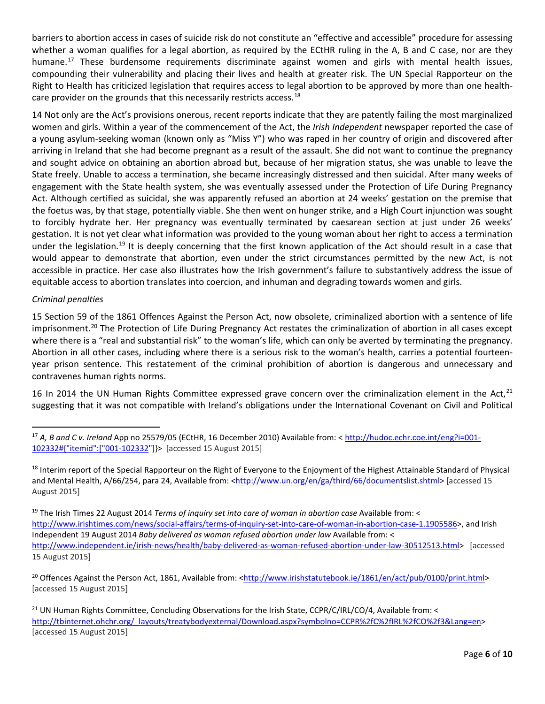barriers to abortion access in cases of suicide risk do not constitute an "effective and accessible" procedure for assessing whether a woman qualifies for a legal abortion, as required by the ECtHR ruling in the A, B and C case, nor are they humane.<sup>[17](#page-5-0)</sup> These burdensome requirements discriminate against women and girls with mental health issues, compounding their vulnerability and placing their lives and health at greater risk. The UN Special Rapporteur on the Right to Health has criticized legislation that requires access to legal abortion to be approved by more than one health-care provider on the grounds that this necessarily restricts access.<sup>[18](#page-5-1)</sup>

14 Not only are the Act's provisions onerous, recent reports indicate that they are patently failing the most marginalized women and girls. Within a year of the commencement of the Act, the *Irish Independent* newspaper reported the case of a young asylum-seeking woman (known only as "Miss Y") who was raped in her country of origin and discovered after arriving in Ireland that she had become pregnant as a result of the assault. She did not want to continue the pregnancy and sought advice on obtaining an abortion abroad but, because of her migration status, she was unable to leave the State freely. Unable to access a termination, she became increasingly distressed and then suicidal. After many weeks of engagement with the State health system, she was eventually assessed under the Protection of Life During Pregnancy Act. Although certified as suicidal, she was apparently refused an abortion at 24 weeks' gestation on the premise that the foetus was, by that stage, potentially viable. She then went on hunger strike, and a High Court injunction was sought to forcibly hydrate her. Her pregnancy was eventually terminated by caesarean section at just under 26 weeks' gestation. It is not yet clear what information was provided to the young woman about her right to access a termination under the legislation.<sup>[19](#page-5-2)</sup> It is deeply concerning that the first known application of the Act should result in a case that would appear to demonstrate that abortion, even under the strict circumstances permitted by the new Act, is not accessible in practice. Her case also illustrates how the Irish government's failure to substantively address the issue of equitable access to abortion translates into coercion, and inhuman and degrading towards women and girls.

#### *Criminal penalties*

15 Section 59 of the 1861 Offences Against the Person Act, now obsolete, criminalized abortion with a sentence of life imprisonment.<sup>20</sup> The Protection of Life During Pregnancy Act restates the criminalization of abortion in all cases except where there is a "real and substantial risk" to the woman's life, which can only be averted by terminating the pregnancy. Abortion in all other cases, including where there is a serious risk to the woman's health, carries a potential fourteenyear prison sentence. This restatement of the criminal prohibition of abortion is dangerous and unnecessary and contravenes human rights norms.

16 In 2014 the UN Human Rights Committee expressed grave concern over the criminalization element in the Act, $^{21}$  $^{21}$  $^{21}$ suggesting that it was not compatible with Ireland's obligations under the International Covenant on Civil and Political

<span id="page-5-3"></span><sup>20</sup> Offences Against the Person Act, 1861, Available from: [<http://www.irishstatutebook.ie/1861/en/act/pub/0100/print.html>](http://www.irishstatutebook.ie/1861/en/act/pub/0100/print.html) [accessed 15 August 2015]

<span id="page-5-0"></span> <sup>17</sup> *A, B and C v. Ireland* App no 25579/05 (ECtHR, 16 December 2010) Available from: < [http://hudoc.echr.coe.int/eng?i=001-](http://hudoc.echr.coe.int/eng?i=001-102332%23%7B%22itemid%22:%5B%22001-102332) [102332#{"itemid":\["001-102332"](http://hudoc.echr.coe.int/eng?i=001-102332%23%7B%22itemid%22:%5B%22001-102332)]}> [accessed 15 August 2015]

<span id="page-5-1"></span><sup>&</sup>lt;sup>18</sup> Interim report of the Special Rapporteur on the Right of Everyone to the Enjoyment of the Highest Attainable Standard of Physical and Mental Health, A/66/254, para 24, Available from: [<http://www.un.org/en/ga/third/66/documentslist.shtml>](http://www.un.org/en/ga/third/66/documentslist.shtml) [accessed 15 August 2015]

<span id="page-5-2"></span><sup>19</sup> The Irish Times 22 August 2014 *Terms of inquiry set into care of woman in abortion case* Available from: < [http://www.irishtimes.com/news/social-affairs/terms-of-inquiry-set-into-care-of-woman-in-abortion-case-1.1905586>](http://www.irishtimes.com/news/social-affairs/terms-of-inquiry-set-into-care-of-woman-in-abortion-case-1.1905586), and Irish Independent 19 August 2014 *Baby delivered as woman refused abortion under law* Available from: < [http://www.independent.ie/irish-news/health/baby-delivered-as-woman-refused-abortion-under-law-30512513.html>](http://www.independent.ie/irish-news/health/baby-delivered-as-woman-refused-abortion-under-law-30512513.html) [accessed 15 August 2015]

<span id="page-5-4"></span><sup>&</sup>lt;sup>21</sup> UN Human Rights Committee, Concluding Observations for the Irish State, CCPR/C/IRL/CO/4, Available from: < [http://tbinternet.ohchr.org/\\_layouts/treatybodyexternal/Download.aspx?symbolno=CCPR%2fC%2fIRL%2fCO%2f3&Lang=en>](http://tbinternet.ohchr.org/_layouts/treatybodyexternal/Download.aspx?symbolno=CCPR%2fC%2fIRL%2fCO%2f3&Lang=en) [accessed 15 August 2015]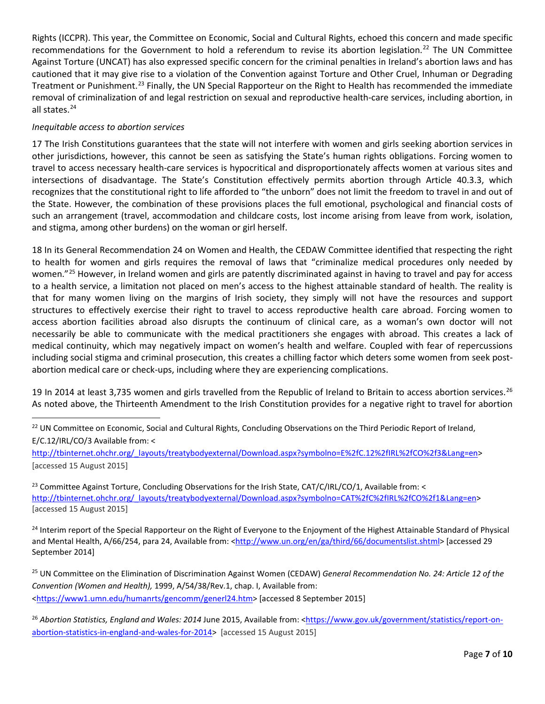Rights (ICCPR). This year, the Committee on Economic, Social and Cultural Rights, echoed this concern and made specific recommendations for the Government to hold a referendum to revise its abortion legislation.<sup>[22](#page-6-0)</sup> The UN Committee Against Torture (UNCAT) has also expressed specific concern for the criminal penalties in Ireland's abortion laws and has cautioned that it may give rise to a violation of the Convention against Torture and Other Cruel, Inhuman or Degrading Treatment or Punishment.<sup>[23](#page-6-1)</sup> Finally, the UN Special Rapporteur on the Right to Health has recommended the immediate removal of criminalization of and legal restriction on sexual and reproductive health-care services, including abortion, in all states.[24](#page-6-2)

## *Inequitable access to abortion services*

17 The Irish Constitutions guarantees that the state will not interfere with women and girls seeking abortion services in other jurisdictions, however, this cannot be seen as satisfying the State's human rights obligations. Forcing women to travel to access necessary health-care services is hypocritical and disproportionately affects women at various sites and intersections of disadvantage. The State's Constitution effectively permits abortion through Article 40.3.3, which recognizes that the constitutional right to life afforded to "the unborn" does not limit the freedom to travel in and out of the State. However, the combination of these provisions places the full emotional, psychological and financial costs of such an arrangement (travel, accommodation and childcare costs, lost income arising from leave from work, isolation, and stigma, among other burdens) on the woman or girl herself.

18 In its General Recommendation 24 on Women and Health, the CEDAW Committee identified that respecting the right to health for women and girls requires the removal of laws that "criminalize medical procedures only needed by women."<sup>[25](#page-6-3)</sup> However, in Ireland women and girls are patently discriminated against in having to travel and pay for access to a health service, a limitation not placed on men's access to the highest attainable standard of health. The reality is that for many women living on the margins of Irish society, they simply will not have the resources and support structures to effectively exercise their right to travel to access reproductive health care abroad. Forcing women to access abortion facilities abroad also disrupts the continuum of clinical care, as a woman's own doctor will not necessarily be able to communicate with the medical practitioners she engages with abroad. This creates a lack of medical continuity, which may negatively impact on women's health and welfare. Coupled with fear of repercussions including social stigma and criminal prosecution, this creates a chilling factor which deters some women from seek postabortion medical care or check-ups, including where they are experiencing complications.

19 In 2014 at least 3,735 women and girls travelled from the Republic of Ireland to Britain to access abortion services.<sup>[26](#page-6-4)</sup> As noted above, the Thirteenth Amendment to the Irish Constitution provides for a negative right to travel for abortion

[http://tbinternet.ohchr.org/\\_layouts/treatybodyexternal/Download.aspx?symbolno=E%2fC.12%2fIRL%2fCO%2f3&Lang=en>](http://tbinternet.ohchr.org/_layouts/treatybodyexternal/Download.aspx?symbolno=E%2fC.12%2fIRL%2fCO%2f3&Lang=en) [accessed 15 August 2015]

<span id="page-6-1"></span><sup>23</sup> Committee Against Torture, Concluding Observations for the Irish State, CAT/C/IRL/CO/1, Available from: < [http://tbinternet.ohchr.org/\\_layouts/treatybodyexternal/Download.aspx?symbolno=CAT%2fC%2fIRL%2fCO%2f1&Lang=en>](http://tbinternet.ohchr.org/_layouts/treatybodyexternal/Download.aspx?symbolno=CAT%2fC%2fIRL%2fCO%2f1&Lang=en) [accessed 15 August 2015]

<span id="page-6-2"></span><sup>24</sup> Interim report of the Special Rapporteur on the Right of Everyone to the Enjoyment of the Highest Attainable Standard of Physical and Mental Health, A/66/254, para 24, Available from: [<http://www.un.org/en/ga/third/66/documentslist.shtml>](http://www.un.org/en/ga/third/66/documentslist.shtml) [accessed 29 September 2014]

<span id="page-6-3"></span><sup>25</sup> UN Committee on the Elimination of Discrimination Against Women (CEDAW) *General Recommendation No. 24: Article 12 of the Convention (Women and Health),* 1999, A/54/38/Rev.1, chap. I, Available from: [<https://www1.umn.edu/humanrts/gencomm/generl24.htm>](https://www1.umn.edu/humanrts/gencomm/generl24.htm) [accessed 8 September 2015]

<span id="page-6-0"></span><sup>&</sup>lt;sup>22</sup> UN Committee on Economic, Social and Cultural Rights, Concluding Observations on the Third Periodic Report of Ireland, E/C.12/IRL/CO/3 Available from: <

<span id="page-6-4"></span><sup>&</sup>lt;sup>26</sup> Abortion Statistics, England and Wales: 2014 June 2015, Available from: [<https://www.gov.uk/government/statistics/report-on](https://www.gov.uk/government/statistics/report-on-abortion-statistics-in-england-and-wales-for-2014)[abortion-statistics-in-england-and-wales-for-2014>](https://www.gov.uk/government/statistics/report-on-abortion-statistics-in-england-and-wales-for-2014) [accessed 15 August 2015]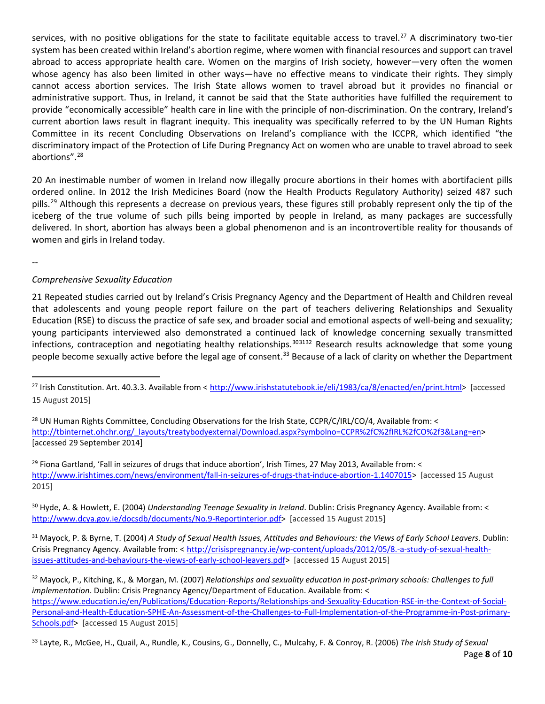services, with no positive obligations for the state to facilitate equitable access to travel.<sup>[27](#page-7-0)</sup> A discriminatory two-tier system has been created within Ireland's abortion regime, where women with financial resources and support can travel abroad to access appropriate health care. Women on the margins of Irish society, however—very often the women whose agency has also been limited in other ways—have no effective means to vindicate their rights. They simply cannot access abortion services. The Irish State allows women to travel abroad but it provides no financial or administrative support. Thus, in Ireland, it cannot be said that the State authorities have fulfilled the requirement to provide "economically accessible" health care in line with the principle of non-discrimination. On the contrary, Ireland's current abortion laws result in flagrant inequity. This inequality was specifically referred to by the UN Human Rights Committee in its recent Concluding Observations on Ireland's compliance with the ICCPR, which identified "the discriminatory impact of the Protection of Life During Pregnancy Act on women who are unable to travel abroad to seek abortions". [28](#page-7-1)

20 An inestimable number of women in Ireland now illegally procure abortions in their homes with abortifacient pills ordered online. In 2012 the Irish Medicines Board (now the Health Products Regulatory Authority) seized 487 such pills.<sup>[29](#page-7-2)</sup> Although this represents a decrease on previous years, these figures still probably represent only the tip of the iceberg of the true volume of such pills being imported by people in Ireland, as many packages are successfully delivered. In short, abortion has always been a global phenomenon and is an incontrovertible reality for thousands of women and girls in Ireland today.

--

## *Comprehensive Sexuality Education*

21 Repeated studies carried out by Ireland's Crisis Pregnancy Agency and the Department of Health and Children reveal that adolescents and young people report failure on the part of teachers delivering Relationships and Sexuality Education (RSE) to discuss the practice of safe sex, and broader social and emotional aspects of well-being and sexuality; young participants interviewed also demonstrated a continued lack of knowledge concerning sexually transmitted infections, contraception and negotiating healthy relationships.<sup>[30](#page-7-3)[31](#page-7-4)[32](#page-7-5)</sup> Research results acknowledge that some young people become sexually active before the legal age of consent.<sup>[33](#page-7-6)</sup> Because of a lack of clarity on whether the Department

<span id="page-7-2"></span> $^{29}$  Fiona Gartland, 'Fall in seizures of drugs that induce abortion', Irish Times, 27 May 2013, Available from: < [http://www.irishtimes.com/news/environment/fall-in-seizures-of-drugs-that-induce-abortion-1.1407015>](http://www.irishtimes.com/news/environment/fall-in-seizures-of-drugs-that-induce-abortion-1.1407015) [accessed 15 August 2015]

<span id="page-7-3"></span><sup>30</sup> Hyde, A. & Howlett, E. (2004) *Understanding Teenage Sexuality in Ireland*. Dublin: Crisis Pregnancy Agency. Available from: < [http://www.dcya.gov.ie/docsdb/documents/No.9-Reportinterior.pdf>](http://www.dcya.gov.ie/docsdb/documents/No.9-Reportinterior.pdf) [accessed 15 August 2015]

<span id="page-7-4"></span><sup>31</sup> Mayock, P. & Byrne, T. (2004) *A Study of Sexual Health Issues, Attitudes and Behaviours: the Views of Early School Leavers*. Dublin: Crisis Pregnancy Agency. Available from: < [http://crisispregnancy.ie/wp-content/uploads/2012/05/8.-a-study-of-sexual-health](http://crisispregnancy.ie/wp-content/uploads/2012/05/8.-a-study-of-sexual-health-issues-attitudes-and-behaviours-the-views-of-early-school-leavers.pdf)[issues-attitudes-and-behaviours-the-views-of-early-school-leavers.pdf>](http://crisispregnancy.ie/wp-content/uploads/2012/05/8.-a-study-of-sexual-health-issues-attitudes-and-behaviours-the-views-of-early-school-leavers.pdf) [accessed 15 August 2015]

<span id="page-7-5"></span><sup>32</sup> Mayock, P., Kitching, K., & Morgan, M. (2007) *Relationships and sexuality education in post-primary schools: Challenges to full implementation*. Dublin: Crisis Pregnancy Agency/Department of Education. Available from: < [https://www.education.ie/en/Publications/Education-Reports/Relationships-and-Sexuality-Education-RSE-in-the-Context-of-Social-](https://www.education.ie/en/Publications/Education-Reports/Relationships-and-Sexuality-Education-RSE-in-the-Context-of-Social-Personal-and-Health-Education-SPHE-An-Assessment-of-the-Challenges-to-Full-Implementation-of-the-Programme-in-Post-primary-Schools.pdf)[Personal-and-Health-Education-SPHE-An-Assessment-of-the-Challenges-to-Full-Implementation-of-the-Programme-in-Post-primary-](https://www.education.ie/en/Publications/Education-Reports/Relationships-and-Sexuality-Education-RSE-in-the-Context-of-Social-Personal-and-Health-Education-SPHE-An-Assessment-of-the-Challenges-to-Full-Implementation-of-the-Programme-in-Post-primary-Schools.pdf)[Schools.pdf>](https://www.education.ie/en/Publications/Education-Reports/Relationships-and-Sexuality-Education-RSE-in-the-Context-of-Social-Personal-and-Health-Education-SPHE-An-Assessment-of-the-Challenges-to-Full-Implementation-of-the-Programme-in-Post-primary-Schools.pdf) [accessed 15 August 2015]

<span id="page-7-6"></span>Page **8** of **10** <sup>33</sup> Layte, R., McGee, H., Quail, A., Rundle, K., Cousins, G., Donnelly, C., Mulcahy, F. & Conroy, R. (2006) *The Irish Study of Sexual* 

<span id="page-7-0"></span> <sup>27</sup> Irish Constitution. Art. 40.3.3. Available from < [http://www.irishstatutebook.ie/eli/1983/ca/8/enacted/en/print.html>](http://www.irishstatutebook.ie/eli/1983/ca/8/enacted/en/print.html) [accessed 15 August 2015]

<span id="page-7-1"></span><sup>&</sup>lt;sup>28</sup> UN Human Rights Committee, Concluding Observations for the Irish State, CCPR/C/IRL/CO/4, Available from: < [http://tbinternet.ohchr.org/\\_layouts/treatybodyexternal/Download.aspx?symbolno=CCPR%2fC%2fIRL%2fCO%2f3&Lang=en>](http://tbinternet.ohchr.org/_layouts/treatybodyexternal/Download.aspx?symbolno=CCPR%2fC%2fIRL%2fCO%2f3&Lang=en) [accessed 29 September 2014]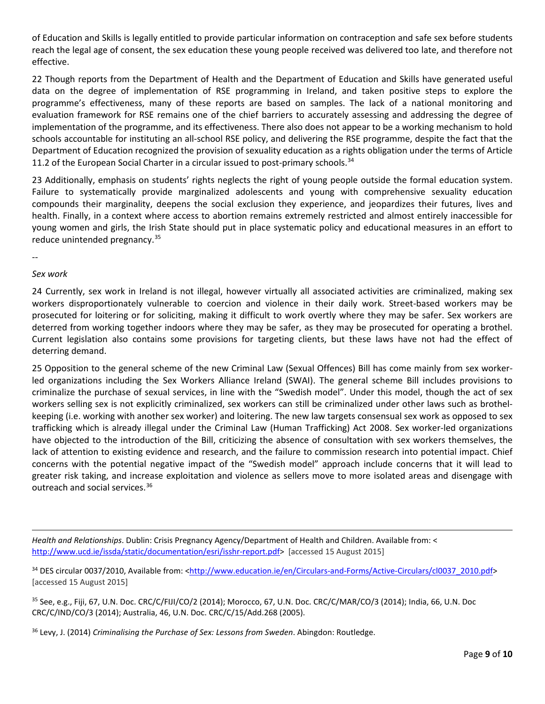of Education and Skills is legally entitled to provide particular information on contraception and safe sex before students reach the legal age of consent, the sex education these young people received was delivered too late, and therefore not effective.

22 Though reports from the Department of Health and the Department of Education and Skills have generated useful data on the degree of implementation of RSE programming in Ireland, and taken positive steps to explore the programme's effectiveness, many of these reports are based on samples. The lack of a national monitoring and evaluation framework for RSE remains one of the chief barriers to accurately assessing and addressing the degree of implementation of the programme, and its effectiveness. There also does not appear to be a working mechanism to hold schools accountable for instituting an all-school RSE policy, and delivering the RSE programme, despite the fact that the Department of Education recognized the provision of sexuality education as a rights obligation under the terms of Article 11.2 of the European Social Charter in a circular issued to post-primary schools. $34$ 

23 Additionally, emphasis on students' rights neglects the right of young people outside the formal education system. Failure to systematically provide marginalized adolescents and young with comprehensive sexuality education compounds their marginality, deepens the social exclusion they experience, and jeopardizes their futures, lives and health. Finally, in a context where access to abortion remains extremely restricted and almost entirely inaccessible for young women and girls, the Irish State should put in place systematic policy and educational measures in an effort to reduce unintended pregnancy.<sup>[35](#page-8-1)</sup>

--

 $\overline{\phantom{a}}$ 

#### *Sex work*

24 Currently, sex work in Ireland is not illegal, however virtually all associated activities are criminalized, making sex workers disproportionately vulnerable to coercion and violence in their daily work. Street-based workers may be prosecuted for loitering or for soliciting, making it difficult to work overtly where they may be safer. Sex workers are deterred from working together indoors where they may be safer, as they may be prosecuted for operating a brothel. Current legislation also contains some provisions for targeting clients, but these laws have not had the effect of deterring demand.

25 Opposition to the general scheme of the new Criminal Law (Sexual Offences) Bill has come mainly from sex workerled organizations including the Sex Workers Alliance Ireland (SWAI). The general scheme Bill includes provisions to criminalize the purchase of sexual services, in line with the "Swedish model". Under this model, though the act of sex workers selling sex is not explicitly criminalized, sex workers can still be criminalized under other laws such as brothelkeeping (i.e. working with another sex worker) and loitering. The new law targets consensual sex work as opposed to sex trafficking which is already illegal under the Criminal Law (Human Trafficking) Act 2008. Sex worker-led organizations have objected to the introduction of the Bill, criticizing the absence of consultation with sex workers themselves, the lack of attention to existing evidence and research, and the failure to commission research into potential impact. Chief concerns with the potential negative impact of the "Swedish model" approach include concerns that it will lead to greater risk taking, and increase exploitation and violence as sellers move to more isolated areas and disengage with outreach and social services.<sup>[36](#page-8-2)</sup>

*Health and Relationships*. Dublin: Crisis Pregnancy Agency/Department of Health and Children. Available from: < [http://www.ucd.ie/issda/static/documentation/esri/isshr-report.pdf>](http://www.ucd.ie/issda/static/documentation/esri/isshr-report.pdf) [accessed 15 August 2015]

<span id="page-8-0"></span>34 DES circular 0037/2010, Available from: [<http://www.education.ie/en/Circulars-and-Forms/Active-Circulars/cl0037\\_2010.pdf>](http://www.education.ie/en/Circulars-and-Forms/Active-Circulars/cl0037_2010.pdf) [accessed 15 August 2015]

<span id="page-8-1"></span><sup>35</sup> See, e.g., Fiji, 67, U.N. Doc. CRC/C/FIJI/CO/2 (2014); Morocco, 67, U.N. Doc. CRC/C/MAR/CO/3 (2014); India, 66, U.N. Doc CRC/C/IND/CO/3 (2014); Australia, 46, U.N. Doc. CRC/C/15/Add.268 (2005).

<span id="page-8-2"></span><sup>36</sup> Levy, J. (2014) *Criminalising the Purchase of Sex: Lessons from Sweden*. Abingdon: Routledge.